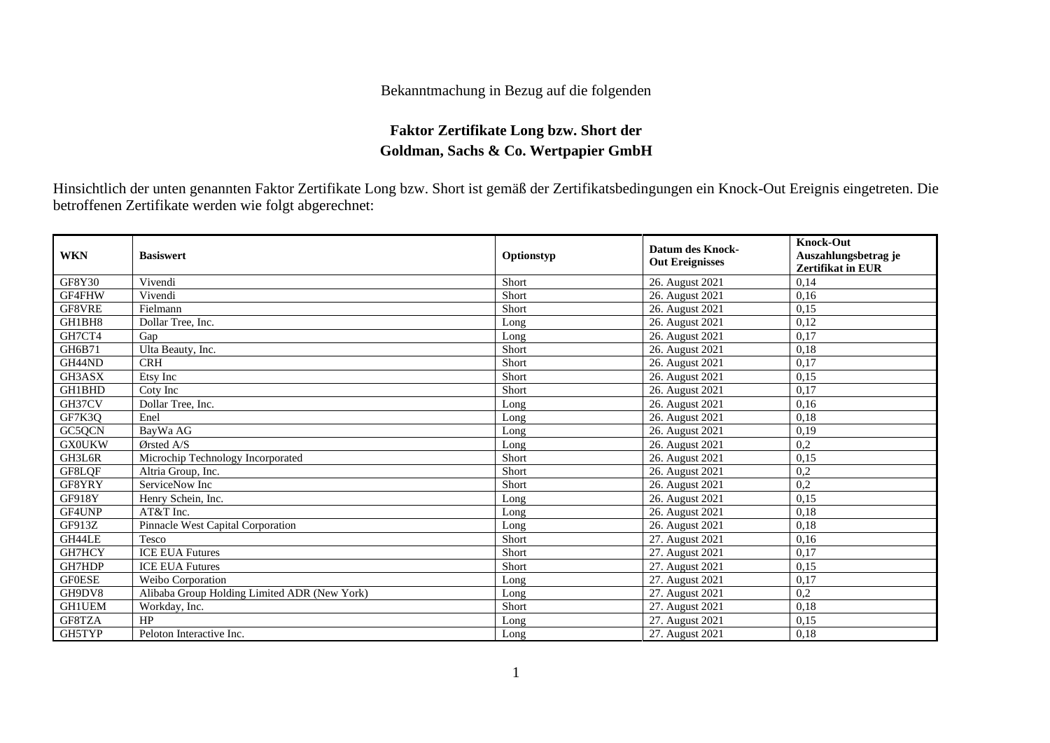## Bekanntmachung in Bezug auf die folgenden

## **Faktor Zertifikate Long bzw. Short der Goldman, Sachs & Co. Wertpapier GmbH**

Hinsichtlich der unten genannten Faktor Zertifikate Long bzw. Short ist gemäß der Zertifikatsbedingungen ein Knock-Out Ereignis eingetreten. Die betroffenen Zertifikate werden wie folgt abgerechnet:

| <b>WKN</b>    | <b>Basiswert</b>                             | Optionstyp | <b>Datum des Knock-</b><br><b>Out Ereignisses</b> | <b>Knock-Out</b><br>Auszahlungsbetrag je<br><b>Zertifikat in EUR</b> |
|---------------|----------------------------------------------|------------|---------------------------------------------------|----------------------------------------------------------------------|
| GF8Y30        | Vivendi                                      | Short      | 26. August 2021                                   | 0,14                                                                 |
| GF4FHW        | Vivendi                                      | Short      | 26. August 2021                                   | 0,16                                                                 |
| GF8VRE        | Fielmann                                     | Short      | 26. August 2021                                   | 0,15                                                                 |
| GH1BH8        | Dollar Tree, Inc.                            | Long       | 26. August 2021                                   | 0,12                                                                 |
| GH7CT4        | Gap                                          | Long       | 26. August 2021                                   | 0,17                                                                 |
| GH6B71        | Ulta Beauty, Inc.                            | Short      | 26. August 2021                                   | 0,18                                                                 |
| GH44ND        | <b>CRH</b>                                   | Short      | 26. August 2021                                   | 0,17                                                                 |
| GH3ASX        | Etsy Inc                                     | Short      | 26. August 2021                                   | 0,15                                                                 |
| GH1BHD        | Coty Inc                                     | Short      | 26. August 2021                                   | 0,17                                                                 |
| GH37CV        | Dollar Tree, Inc.                            | Long       | 26. August 2021                                   | 0,16                                                                 |
| GF7K3Q        | Enel                                         | Long       | 26. August 2021                                   | 0,18                                                                 |
| GC5QCN        | BavWa AG                                     | Long       | 26. August 2021                                   | 0,19                                                                 |
| <b>GX0UKW</b> | Ørsted A/S                                   | Long       | 26. August 2021                                   | 0,2                                                                  |
| GH3L6R        | Microchip Technology Incorporated            | Short      | 26. August 2021                                   | 0,15                                                                 |
| GF8LQF        | Altria Group, Inc.                           | Short      | 26. August 2021                                   | 0,2                                                                  |
| GF8YRY        | ServiceNow Inc                               | Short      | 26. August 2021                                   | 0,2                                                                  |
| GF918Y        | Henry Schein, Inc.                           | Long       | 26. August 2021                                   | 0,15                                                                 |
| GF4UNP        | AT&T Inc.                                    | Long       | 26. August 2021                                   | 0,18                                                                 |
| GF913Z        | Pinnacle West Capital Corporation            | Long       | 26. August 2021                                   | 0,18                                                                 |
| GH44LE        | Tesco                                        | Short      | 27. August 2021                                   | 0,16                                                                 |
| GH7HCY        | <b>ICE EUA Futures</b>                       | Short      | 27. August 2021                                   | 0,17                                                                 |
| GH7HDP        | <b>ICE EUA Futures</b>                       | Short      | 27. August 2021                                   | 0,15                                                                 |
| <b>GF0ESE</b> | Weibo Corporation                            | Long       | 27. August 2021                                   | 0,17                                                                 |
| GH9DV8        | Alibaba Group Holding Limited ADR (New York) | Long       | 27. August 2021                                   | 0,2                                                                  |
| <b>GH1UEM</b> | Workday, Inc.                                | Short      | 27. August 2021                                   | 0,18                                                                 |
| GF8TZA        | HP                                           | Long       | 27. August 2021                                   | 0,15                                                                 |
| GH5TYP        | Peloton Interactive Inc.                     | Long       | 27. August 2021                                   | 0,18                                                                 |